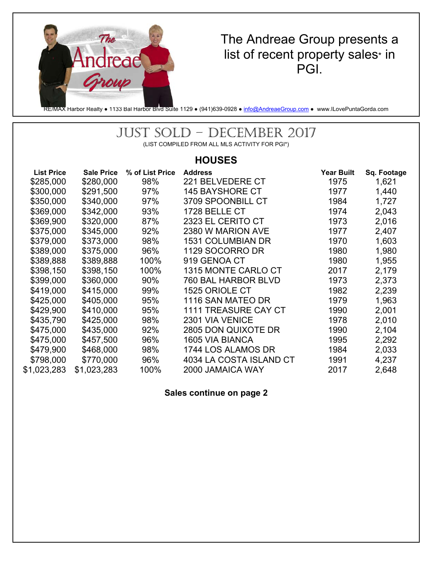

### The Andreae Group presents a list of recent property sales\* in PGI.

RE/MAX Harbor Realty • 1133 Bal Harbor Blvd Suite 1129 • (941)639-0928 • info@AndreaeGroup.com • www.ILovePuntaGorda.com

# JUST SOLD – DECEMBER 2017

(LIST COMPILED FROM ALL MLS ACTIVITY FOR PGI\*)

#### **HOUSES**

| <b>List Price</b> | <b>Sale Price</b> | % of List Price | <b>Address</b>              | <b>Year Built</b> | Sq. Footage |
|-------------------|-------------------|-----------------|-----------------------------|-------------------|-------------|
| \$285,000         | \$280,000         | 98%             | 221 BELVEDERE CT            | 1975              | 1,621       |
| \$300,000         | \$291,500         | 97%             | <b>145 BAYSHORE CT</b>      | 1977              | 1,440       |
| \$350,000         | \$340,000         | 97%             | 3709 SPOONBILL CT           | 1984              | 1,727       |
| \$369,000         | \$342,000         | 93%             | 1728 BELLE CT               | 1974              | 2,043       |
| \$369,900         | \$320,000         | 87%             | 2323 EL CERITO CT           | 1973              | 2,016       |
| \$375,000         | \$345,000         | 92%             | 2380 W MARION AVE           | 1977              | 2,407       |
| \$379,000         | \$373,000         | 98%             | <b>1531 COLUMBIAN DR</b>    | 1970              | 1,603       |
| \$389,000         | \$375,000         | 96%             | 1129 SOCORRO DR             | 1980              | 1,980       |
| \$389,888         | \$389,888         | 100%            | 919 GENOA CT                | 1980              | 1,955       |
| \$398,150         | \$398,150         | 100%            | 1315 MONTE CARLO CT         | 2017              | 2,179       |
| \$399,000         | \$360,000         | 90%             | 760 BAL HARBOR BLVD         | 1973              | 2,373       |
| \$419,000         | \$415,000         | 99%             | 1525 ORIOLE CT              | 1982              | 2,239       |
| \$425,000         | \$405,000         | 95%             | 1116 SAN MATEO DR           | 1979              | 1,963       |
| \$429,900         | \$410,000         | 95%             | <b>1111 TREASURE CAY CT</b> | 1990              | 2,001       |
| \$435,790         | \$425,000         | 98%             | 2301 VIA VENICE             | 1978              | 2,010       |
| \$475,000         | \$435,000         | 92%             | 2805 DON QUIXOTE DR         | 1990              | 2,104       |
| \$475,000         | \$457,500         | 96%             | 1605 VIA BIANCA             | 1995              | 2,292       |
| \$479,900         | \$468,000         | 98%             | 1744 LOS ALAMOS DR          | 1984              | 2,033       |
| \$798,000         | \$770,000         | 96%             | 4034 LA COSTA ISLAND CT     | 1991              | 4,237       |
| \$1,023,283       | \$1,023,283       | 100%            | 2000 JAMAICA WAY            | 2017              | 2,648       |
|                   |                   |                 |                             |                   |             |

**Sales continue on page 2**